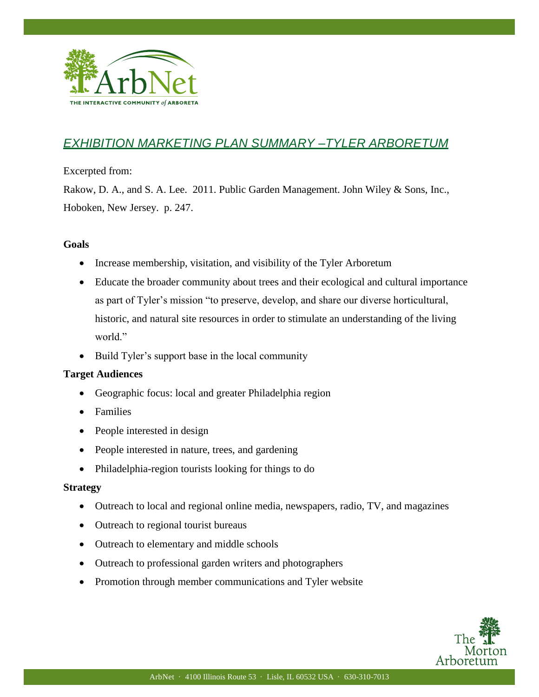

## *EXHIBITION MARKETING PLAN SUMMARY –TYLER ARBORETUM*

Excerpted from:

Rakow, D. A., and S. A. Lee. 2011. Public Garden Management. John Wiley & Sons, Inc., Hoboken, New Jersey. p. 247.

## **Goals**

I

- Increase membership, visitation, and visibility of the Tyler Arboretum
- Educate the broader community about trees and their ecological and cultural importance as part of Tyler's mission "to preserve, develop, and share our diverse horticultural, historic, and natural site resources in order to stimulate an understanding of the living world."
- Build Tyler's support base in the local community

## **Target Audiences**

- Geographic focus: local and greater Philadelphia region
- Families
- People interested in design
- People interested in nature, trees, and gardening
- Philadelphia-region tourists looking for things to do

## **Strategy**

- Outreach to local and regional online media, newspapers, radio, TV, and magazines
- Outreach to regional tourist bureaus
- Outreach to elementary and middle schools
- Outreach to professional garden writers and photographers
- Promotion through member communications and Tyler website